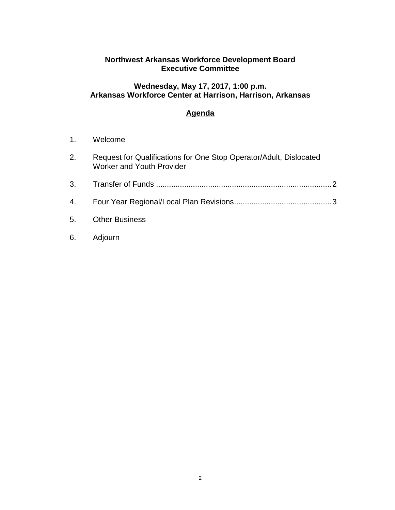## **Northwest Arkansas Workforce Development Board Executive Committee**

## **Wednesday, May 17, 2017, 1:00 p.m. Arkansas Workforce Center at Harrison, Harrison, Arkansas**

# **Agenda**

- 1. Welcome
- 2. Request for Qualifications for One Stop Operator/Adult, Dislocated Worker and Youth Provider
- 3. Transfer of Funds .................................................................................2
- 4. Four Year Regional/Local Plan Revisions.............................................3
- 5. Other Business
- 6. Adjourn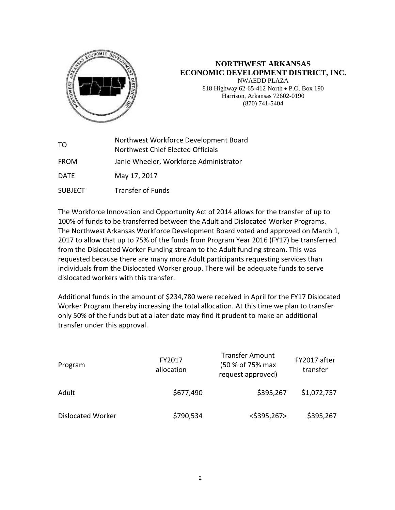

#### **NORTHWEST ARKANSAS ECONOMIC DEVELOPMENT DISTRICT, INC.** NWAEDD PLAZA 818 Highway 62-65-412 North • P.O. Box 190 Harrison, Arkansas 72602-0190 (870) 741-5404

| TO             | Northwest Workforce Development Board<br>Northwest Chief Elected Officials |
|----------------|----------------------------------------------------------------------------|
| <b>FROM</b>    | Janie Wheeler, Workforce Administrator                                     |
| <b>DATE</b>    | May 17, 2017                                                               |
| <b>SUBJECT</b> | <b>Transfer of Funds</b>                                                   |

The Workforce Innovation and Opportunity Act of 2014 allows for the transfer of up to 100% of funds to be transferred between the Adult and Dislocated Worker Programs. The Northwest Arkansas Workforce Development Board voted and approved on March 1, 2017 to allow that up to 75% of the funds from Program Year 2016 (FY17) be transferred from the Dislocated Worker Funding stream to the Adult funding stream. This was requested because there are many more Adult participants requesting services than individuals from the Dislocated Worker group. There will be adequate funds to serve dislocated workers with this transfer.

Additional funds in the amount of \$234,780 were received in April for the FY17 Dislocated Worker Program thereby increasing the total allocation. At this time we plan to transfer only 50% of the funds but at a later date may find it prudent to make an additional transfer under this approval.

| Program                  | FY2017<br>allocation | <b>Transfer Amount</b><br>(50 % of 75% max<br>request approved) | FY2017 after<br>transfer |
|--------------------------|----------------------|-----------------------------------------------------------------|--------------------------|
| Adult                    | \$677,490            | \$395,267                                                       | \$1,072,757              |
| <b>Dislocated Worker</b> | \$790,534            | $<$ \$395,267>                                                  | \$395,267                |